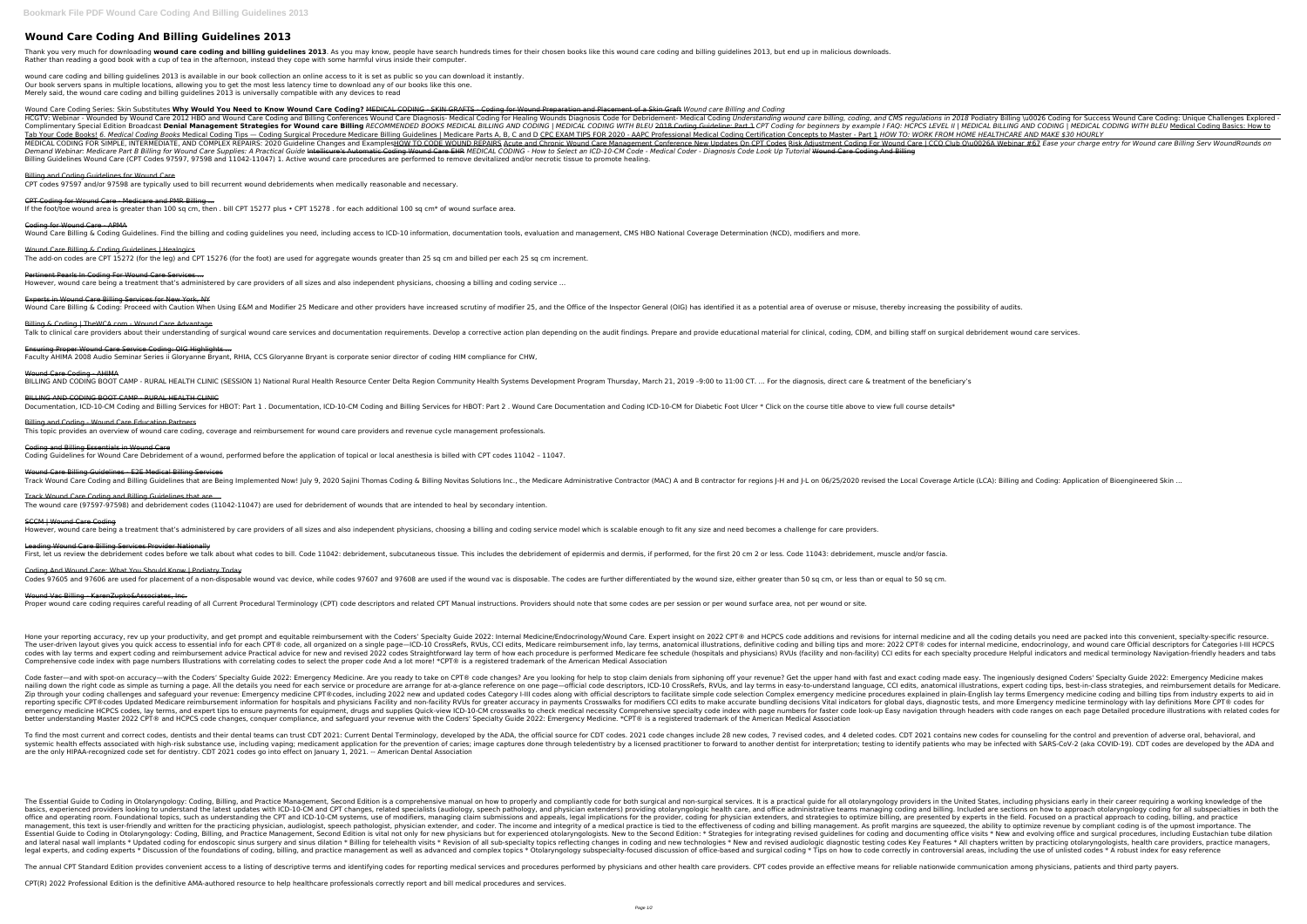# **Wound Care Coding And Billing Guidelines 2013**

Thank you very much for downloading wound care coding and billing guidelines 2013. As you may know, people have search hundreds times for their chosen books like this wound care coding and billing guidelines 2013, but end Rather than reading a good book with a cup of tea in the afternoon, instead they cope with some harmful virus inside their computer.

wound care coding and billing guidelines 2013 is available in our book collection an online access to it is set as public so you can download it instantly. Our book servers spans in multiple locations, allowing you to get the most less latency time to download any of our books like this one. Merely said, the wound care coding and billing guidelines 2013 is universally compatible with any devices to read

Wound Care Coding Series: Skin Substitutes **Why Would You Need to Know Wound Care Coding?** MEDICAL CODING - SKIN GRAFTS - Coding for Wound Preparation and Placement of a Skin Graft *Wound care Billing and Coding* HCGTV: Webinar - Wounded by Wound Care 2012 HBO and Wound Care Coding and Billing Conferences Wound Care Diagnosis- Medical Coding for Healing Wounds Diagnosis Code for Debridement- Medical Coding, and CMS regulations in 2 Complimentary Special Edition Broadcast Denial Management Strategies for Wound care Billing RECOMMENDED BOOKS MEDICAL CODING | MEDICAL CODING WITH BLEU 2018 Coding for beginners by example I FAQ: HCPCS LEVEL II | MEDICAL B Tab Your Code Books! 6. Medical Coding Books Medical Coding Tips - Coding Surgical Procedure Medicare Billing Guidelines | Medicare Parts A, B, C and D CPC EXAM TIPS FOR 2020 - AAPC Professional Medical Coding Certificatio MEDICAL CODING FOR SIMPLE, INTERMEDIATE, AND COMPLEX REPAIRS: 2020 Guideline Changes and ExamplesHOW TO CODE WOUND REPAIRS Acute and Chronic Wound Care Management Conference New Updates On CPT Codes Risk Adjustment Confere Demand Webinar: Medicare Part B Billing for Wound Care Supplies: A Practical Guide Intellieure's Automatic Coding Wound Care EHR MEDICAL CODING - How to Select an ICD-10-CM Code - Medical Coder - Diagnosis Code Look Up Tut Billing Guidelines Wound Care (CPT Codes 97597, 97598 and 11042-11047) 1. Active wound care procedures are performed to remove devitalized and/or necrotic tissue to promote healing.

Experts in Wound Care Billing Services for New York, NY Wound Care Billing & Coding: Proceed with Caution When Using E&M and Modifier 25 Medicare and other providers have increased scrutiny of modifier 25, and the Office of the Inspector General (OIG) has identified it as a pot

Billing & Coding | TheWCA.com - Wound Care Advantage Talk to clinical care providers about their understanding of surgical wound care services and documentation requirements. Develop a corrective action plan depending on the audit findings. Prepare and provide educational ma

Wound Care Coding - AHIMA BILLING AND CODING BOOT CAMP - RURAL HEALTH CLINIC (SESSION 1) National Rural Health Resource Center Delta Region Community Health Systems Development Program Thursday, March 21, 2019 -9:00 to 11:00 CT. ... For the diagnos

BILLING AND CODING BOOT CAMP - RURAL HEALTH CLINIC Documentation, ICD-10-CM Coding and Billing Services for HBOT: Part 1. Documentation, ICD-10-CM Coding and Billing Services for HBOT: Part 2. Wound Care Documentation and Coding ICD-10-CM for Diabetic Foot Ulcer \* Click on

# Billing and Coding Guidelines for Wound Care

Wound Care Billing Guidelines - E2E Medical Billing Services Track Wound Care Coding and Billing Guidelines that are Being Implemented Now! July 9, 2020 Sajini Thomas Coding & Billing Novitas Solutions Inc., the Medicare Administrative Contractor for regions J-H and J-L on 06/25/202

CPT codes 97597 and/or 97598 are typically used to bill recurrent wound debridements when medically reasonable and necessary.

### CPT Coding for Wound Care - Medicare and PMR Billing ...

If the foot/toe wound area is greater than 100 sq cm, then . bill CPT 15277 plus • CPT 15278 . for each additional 100 sq cm\* of wound surface area.

#### Coding for Wound Care - APMA

Wound Care Billing & Coding Guidelines. Find the billing and coding guidelines you need, including access to ICD-10 information, documentation tools, evaluation and management, CMS HBO National Coverage Determination (NCD)

# Wound Care Billing & Coding Guidelines | Healogics

Leading Wound Care Billing Services Provider Nationally First, let us review the debridement codes before we talk about what codes to bill. Code 11042: debridement, subcutaneous tissue. This includes the debridement of epidermis and dermis, if performed, for the first 20 cm 2 o

The add-on codes are CPT 15272 (for the leg) and CPT 15276 (for the foot) are used for aggregate wounds greater than 25 sq cm and billed per each 25 sq cm increment.

Wound Vac Billing - KarenZupko&Associates, Inc. Proper wound care coding requires careful reading of all Current Procedural Terminology (CPT) code descriptors and related CPT Manual instructions. Providers should note that some codes are per session or per wound surface

Pertinent Pearls In Coding For Wound Care Services ... However, wound care being a treatment that's administered by care providers of all sizes and also independent physicians, choosing a billing and coding service …

Hone your reporting accuracy, rev up your productivity, and get prompt and equitable reimbursement with the Coders' Specialty Guide 2022: Internal medicine and all the coding details you need are packed into this convenien The user-driven layout gives you quick access to essential info for each CPT® code, all organized on a single page—ICD-10 CrossRefs, RVUs, CCI edits, Medicare reimbursement info, lay terms, anatomical illustrations, defini codes with lay terms and expert coding and reimbursement advice Practical advice for new and revised 2022 codes Straightforward lay term of how each procedure is performed Medicare fee schedule (hospitals and physicians) R Comprehensive code index with page numbers Illustrations with correlating codes to select the proper code And a lot more! \*CPT® is a registered trademark of the American Medical Association

Code faster—and with spot-on accuracy—with the Coders' Specialty Guide 2022: Emergency Medicine. Are you ready to take on CPT® code changes? Are you looking for help to stop claim denials from siphoning off your revenue? G are or procedure are arrange for an allustance reference on one page—official code descriptors, ICD-10 CrossRefs, RVUs, and language, CCI edits, anatomical illustrations, expert coding tips, best-in-class strategies, and r Zip through your coding challenges and safeguard your revenue: Emergency medicine CPT® codes, including 2022 new and updated codes Category I-III codes along with official descriptors to facilitate simple code selection Co reporting specific CPT®codes Updated Medicare reimbursement information for hospitals and physicians Facility and non-facility RVUs for greater accuracy in payments Crosswalks for modifiers CCI edits to make accuracy in pa emergency medicine HCPCS codes, lay terms, and expert tips to ensure payments for equipment, drugs and supplies Quick-view ICD-10-CM crosswalks to check medical necessity Comprehensive specialty code index with page number better understanding Master 2022 CPT® and HCPCS code changes, conquer compliance, and safeguard your revenue with the Coders' Specialty Guide 2022: Emergency Medicine. \*CPT® is a registered trademark of the American Medica

Ensuring Proper Wound Care Service Coding: OIG Highlights ... Faculty AHIMA 2008 Audio Seminar Series ii Gloryanne Bryant, RHIA, CCS Gloryanne Bryant is corporate senior director of coding HIM compliance for CHW,

# Billing and Coding - Wound Care Education Partners

This topic provides an overview of wound care coding, coverage and reimbursement for wound care providers and revenue cycle management professionals.

Coding and Billing Essentials in Wound Care Coding Guidelines for Wound Care Debridement of a wound, performed before the application of topical or local anesthesia is billed with CPT codes 11042 – 11047.

To find the most current and correct codes, dentists and their dental teams can trust CDT 2021: Current Dental Terminology, developed by the ADA, the official source for CDT 2021 contains new codes for counseling for the c systemic health effects associated with high-risk substance use, including vaping; medicament application for the prevention of caries; image captures done through teledentistry by a licensed practitioner to forward to ano are the only HIPAA-recognized code set for dentistry. CDT 2021 codes go into effect on January 1, 2021. -- American Dental Association

The Essential Guide to Coding in Otolaryngology: Coding, Billing, and Practice Management, Second Edition is a comprehensive manual on how to properly and compliantly code for all otolaryngology providers in the United Sta nelated specialists (audiology, speech providers looking to understand the latest updates with ICD-10-CM and CPT changes, related specialists (audiology, speech pathology, speech pathology, and physician extenders) providi office and operating room. Foundational topics, such as understanding the CPT and ICD-10-CM systems, use of modifiers, managing claim submissions and appeals, legal implications for the provider, coding, are presented by e management, this text is user-friendly and written for the practicing physician, audiologist, speech pathologist, speech pathologist, physician extender, and coder. The income and integrity of a medical practice is tied to Essential Guide to Coding in Otolaryngology: Coding, Billing, and Practice Management, Second Edition is vital not only for new physicians but for experienced otolaryngologists. New to the Second Edition: \* Strategies for \* Updated coding for endoscopic sinus surgery and sinus dilation \* Billing for telehealth visits \* Revision of all sub-specialty topics reflecting changes in coding and new technologies \* All chapters written by practicing legal experts, and coding experts \* Discussion of the foundations of coding, billing, and practice management as well as advanced and complex topics \* Otolaryngology subspecialty-focused discussion of office-based and surg

The annual CPT Standard Edition provides convenient access to a listing of descriptive terms and identifying codes for reporting medical services and procedures performed by physicians and other health care provide an effe

Track Wound Care Coding and Billing Guidelines that are ... The wound care (97597-97598) and debridement codes (11042-11047) are used for debridement of wounds that are intended to heal by secondary intention.

### SCCM | Wound Care Coding

However, wound care being a treatment that's administered by care providers of all sizes and also independent physicians, choosing a billing and coding service model which is scalable enough to fit any size and need become

# Coding And Wound Care: What You Should Know | Podiatry Today

Codes 97605 and 97606 are used for placement of a non-disposable wound vac device, while codes 97607 and 97608 are used if the wound vac is disposable. The codes are further differentiated by the wound size, either greater

CPT(R) 2022 Professional Edition is the definitive AMA-authored resource to help healthcare professionals correctly report and bill medical procedures and services.